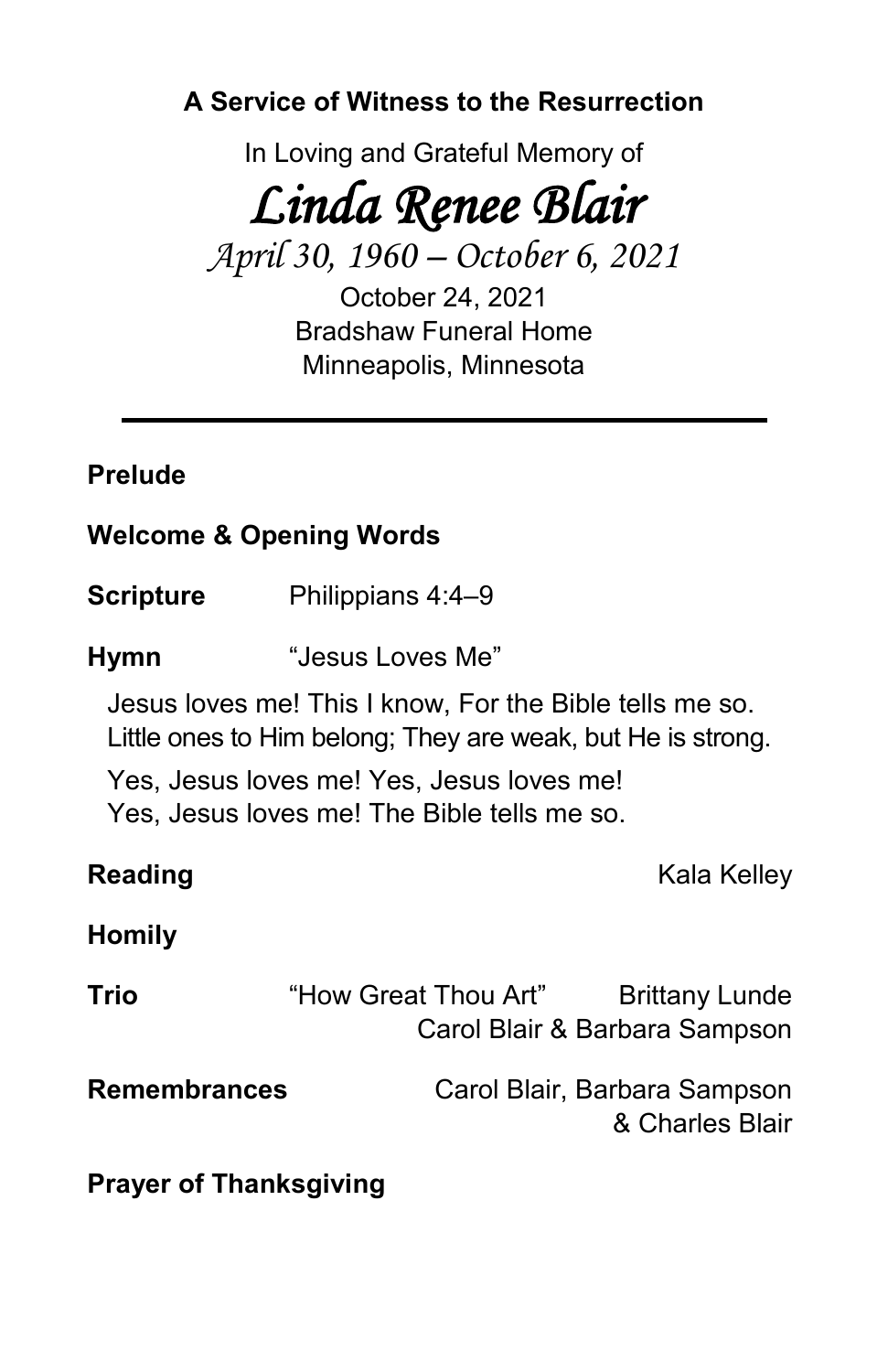**A Service of Witness to the Resurrection**

In Loving and Grateful Memory of

# *Linda Renee Blair*

*April 30, 1960 – October 6, 2021*

October 24, 2021 Bradshaw Funeral Home Minneapolis, Minnesota

## **Prelude**

#### **Welcome & Opening Words**

**Scripture** Philippians 4:4–9

**Hymn** "Jesus Loves Me"

Jesus loves me! This I know, For the Bible tells me so. Little ones to Him belong; They are weak, but He is strong.

Yes, Jesus loves me! Yes, Jesus loves me! Yes, Jesus loves me! The Bible tells me so.

**Reading** Kala Kelley

### **Homily**

| Trio                | "How Great Thou Art" | <b>Brittany Lunde</b><br>Carol Blair & Barbara Sampson |
|---------------------|----------------------|--------------------------------------------------------|
| <b>Remembrances</b> |                      | Carol Blair, Barbara Sampson<br>& Charles Blair        |

**Prayer of Thanksgiving**